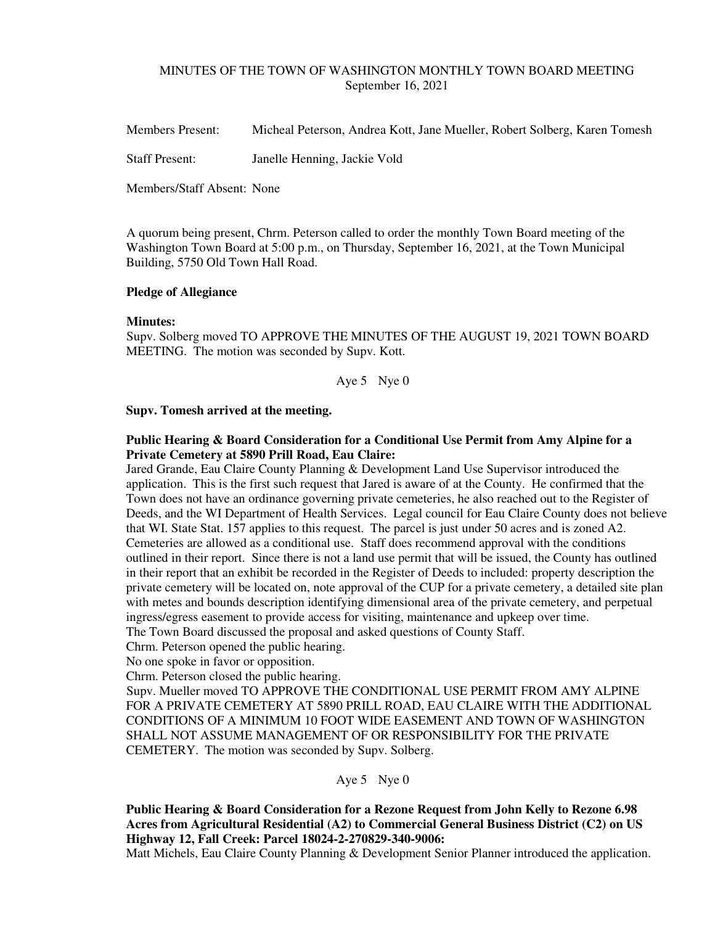### MINUTES OF THE TOWN OF WASHINGTON MONTHLY TOWN BOARD MEETING September 16, 2021

Members Present: Micheal Peterson, Andrea Kott, Jane Mueller, Robert Solberg, Karen Tomesh

Staff Present: Janelle Henning, Jackie Vold

Members/Staff Absent: None

A quorum being present, Chrm. Peterson called to order the monthly Town Board meeting of the Washington Town Board at 5:00 p.m., on Thursday, September 16, 2021, at the Town Municipal Building, 5750 Old Town Hall Road.

### **Pledge of Allegiance**

#### **Minutes:**

Supv. Solberg moved TO APPROVE THE MINUTES OF THE AUGUST 19, 2021 TOWN BOARD MEETING. The motion was seconded by Supv. Kott.

Aye 5 Nye 0

#### **Supv. Tomesh arrived at the meeting.**

## **Public Hearing & Board Consideration for a Conditional Use Permit from Amy Alpine for a Private Cemetery at 5890 Prill Road, Eau Claire:**

Jared Grande, Eau Claire County Planning & Development Land Use Supervisor introduced the application. This is the first such request that Jared is aware of at the County. He confirmed that the Town does not have an ordinance governing private cemeteries, he also reached out to the Register of Deeds, and the WI Department of Health Services. Legal council for Eau Claire County does not believe that WI. State Stat. 157 applies to this request. The parcel is just under 50 acres and is zoned A2. Cemeteries are allowed as a conditional use. Staff does recommend approval with the conditions outlined in their report. Since there is not a land use permit that will be issued, the County has outlined in their report that an exhibit be recorded in the Register of Deeds to included: property description the private cemetery will be located on, note approval of the CUP for a private cemetery, a detailed site plan with metes and bounds description identifying dimensional area of the private cemetery, and perpetual ingress/egress easement to provide access for visiting, maintenance and upkeep over time. The Town Board discussed the proposal and asked questions of County Staff.

Chrm. Peterson opened the public hearing.

No one spoke in favor or opposition.

Chrm. Peterson closed the public hearing.

Supv. Mueller moved TO APPROVE THE CONDITIONAL USE PERMIT FROM AMY ALPINE FOR A PRIVATE CEMETERY AT 5890 PRILL ROAD, EAU CLAIRE WITH THE ADDITIONAL CONDITIONS OF A MINIMUM 10 FOOT WIDE EASEMENT AND TOWN OF WASHINGTON SHALL NOT ASSUME MANAGEMENT OF OR RESPONSIBILITY FOR THE PRIVATE CEMETERY. The motion was seconded by Supv. Solberg.

Aye 5 Nye 0

**Public Hearing & Board Consideration for a Rezone Request from John Kelly to Rezone 6.98 Acres from Agricultural Residential (A2) to Commercial General Business District (C2) on US Highway 12, Fall Creek: Parcel 18024-2-270829-340-9006:** 

Matt Michels, Eau Claire County Planning & Development Senior Planner introduced the application.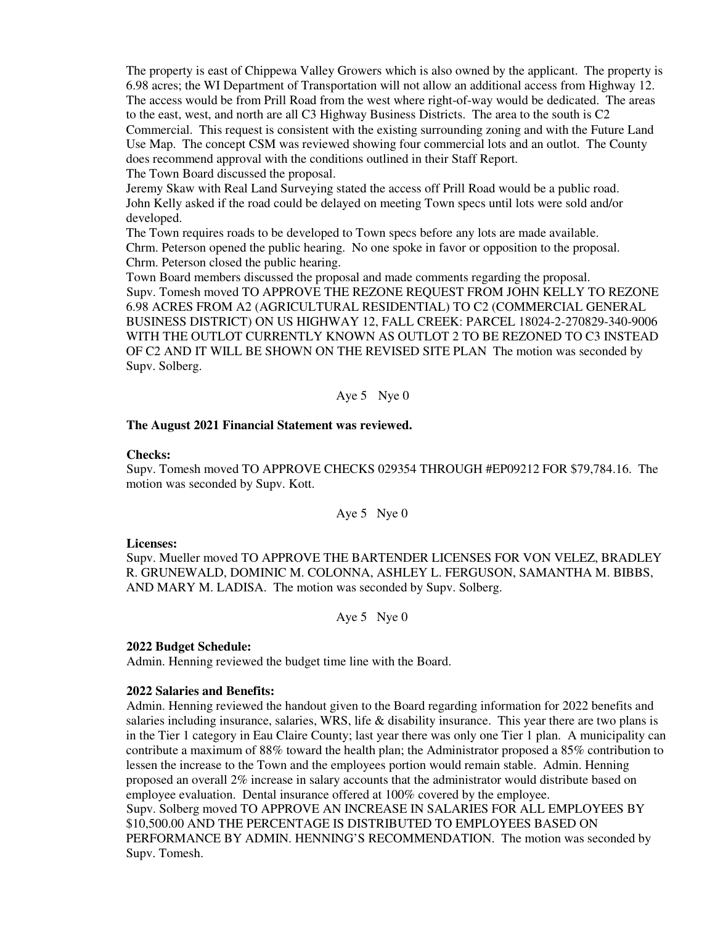The property is east of Chippewa Valley Growers which is also owned by the applicant. The property is 6.98 acres; the WI Department of Transportation will not allow an additional access from Highway 12. The access would be from Prill Road from the west where right-of-way would be dedicated. The areas to the east, west, and north are all C3 Highway Business Districts. The area to the south is C2 Commercial. This request is consistent with the existing surrounding zoning and with the Future Land Use Map. The concept CSM was reviewed showing four commercial lots and an outlot. The County does recommend approval with the conditions outlined in their Staff Report. The Town Board discussed the proposal.

Jeremy Skaw with Real Land Surveying stated the access off Prill Road would be a public road. John Kelly asked if the road could be delayed on meeting Town specs until lots were sold and/or developed.

The Town requires roads to be developed to Town specs before any lots are made available. Chrm. Peterson opened the public hearing. No one spoke in favor or opposition to the proposal. Chrm. Peterson closed the public hearing.

Town Board members discussed the proposal and made comments regarding the proposal. Supv. Tomesh moved TO APPROVE THE REZONE REQUEST FROM JOHN KELLY TO REZONE 6.98 ACRES FROM A2 (AGRICULTURAL RESIDENTIAL) TO C2 (COMMERCIAL GENERAL BUSINESS DISTRICT) ON US HIGHWAY 12, FALL CREEK: PARCEL 18024-2-270829-340-9006 WITH THE OUTLOT CURRENTLY KNOWN AS OUTLOT 2 TO BE REZONED TO C3 INSTEAD OF C2 AND IT WILL BE SHOWN ON THE REVISED SITE PLAN The motion was seconded by Supv. Solberg.

Aye 5 Nye 0

### **The August 2021 Financial Statement was reviewed.**

#### **Checks:**

Supv. Tomesh moved TO APPROVE CHECKS 029354 THROUGH #EP09212 FOR \$79,784.16. The motion was seconded by Supv. Kott.

Aye 5 Nye 0

### **Licenses:**

Supv. Mueller moved TO APPROVE THE BARTENDER LICENSES FOR VON VELEZ, BRADLEY R. GRUNEWALD, DOMINIC M. COLONNA, ASHLEY L. FERGUSON, SAMANTHA M. BIBBS, AND MARY M. LADISA. The motion was seconded by Supv. Solberg.

Aye 5 Nye 0

### **2022 Budget Schedule:**

Admin. Henning reviewed the budget time line with the Board.

### **2022 Salaries and Benefits:**

Admin. Henning reviewed the handout given to the Board regarding information for 2022 benefits and salaries including insurance, salaries, WRS, life  $\&$  disability insurance. This year there are two plans is in the Tier 1 category in Eau Claire County; last year there was only one Tier 1 plan. A municipality can contribute a maximum of 88% toward the health plan; the Administrator proposed a 85% contribution to lessen the increase to the Town and the employees portion would remain stable. Admin. Henning proposed an overall 2% increase in salary accounts that the administrator would distribute based on employee evaluation. Dental insurance offered at 100% covered by the employee. Supv. Solberg moved TO APPROVE AN INCREASE IN SALARIES FOR ALL EMPLOYEES BY \$10,500.00 AND THE PERCENTAGE IS DISTRIBUTED TO EMPLOYEES BASED ON PERFORMANCE BY ADMIN. HENNING'S RECOMMENDATION. The motion was seconded by Supv. Tomesh.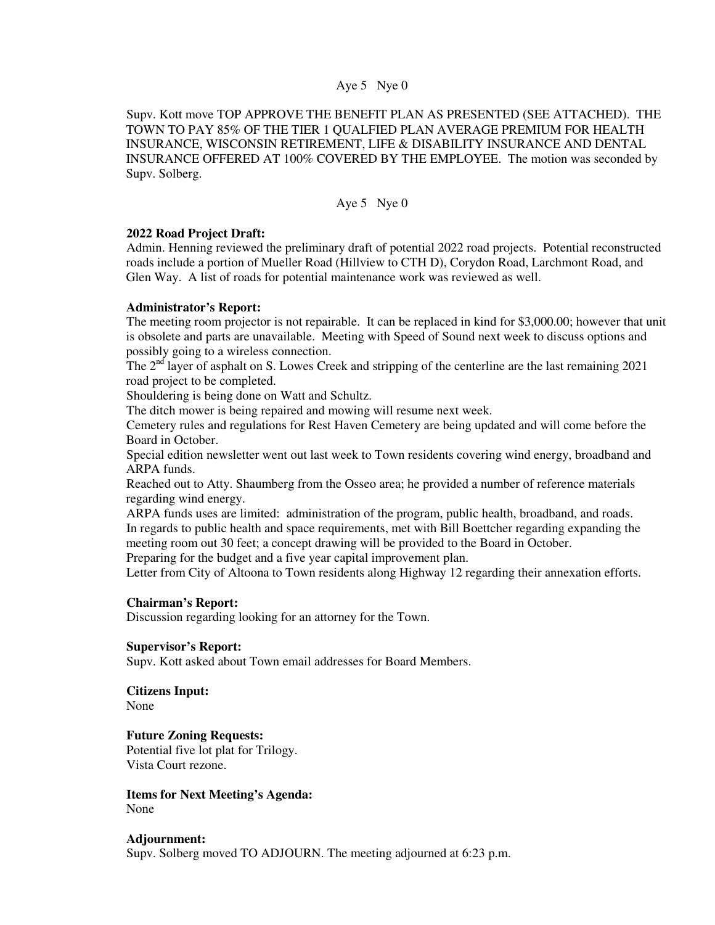### Aye 5 Nye 0

Supv. Kott move TOP APPROVE THE BENEFIT PLAN AS PRESENTED (SEE ATTACHED). THE TOWN TO PAY 85% OF THE TIER 1 QUALFIED PLAN AVERAGE PREMIUM FOR HEALTH INSURANCE, WISCONSIN RETIREMENT, LIFE & DISABILITY INSURANCE AND DENTAL INSURANCE OFFERED AT 100% COVERED BY THE EMPLOYEE. The motion was seconded by Supv. Solberg.

### Aye 5 Nye 0

### **2022 Road Project Draft:**

Admin. Henning reviewed the preliminary draft of potential 2022 road projects. Potential reconstructed roads include a portion of Mueller Road (Hillview to CTH D), Corydon Road, Larchmont Road, and Glen Way. A list of roads for potential maintenance work was reviewed as well.

### **Administrator's Report:**

The meeting room projector is not repairable. It can be replaced in kind for \$3,000.00; however that unit is obsolete and parts are unavailable. Meeting with Speed of Sound next week to discuss options and possibly going to a wireless connection.

The  $2<sup>nd</sup>$  layer of asphalt on S. Lowes Creek and stripping of the centerline are the last remaining 2021 road project to be completed.

Shouldering is being done on Watt and Schultz.

The ditch mower is being repaired and mowing will resume next week.

Cemetery rules and regulations for Rest Haven Cemetery are being updated and will come before the Board in October.

Special edition newsletter went out last week to Town residents covering wind energy, broadband and ARPA funds.

Reached out to Atty. Shaumberg from the Osseo area; he provided a number of reference materials regarding wind energy.

ARPA funds uses are limited: administration of the program, public health, broadband, and roads. In regards to public health and space requirements, met with Bill Boettcher regarding expanding the meeting room out 30 feet; a concept drawing will be provided to the Board in October.

Preparing for the budget and a five year capital improvement plan.

Letter from City of Altoona to Town residents along Highway 12 regarding their annexation efforts.

#### **Chairman's Report:**

Discussion regarding looking for an attorney for the Town.

### **Supervisor's Report:**

Supv. Kott asked about Town email addresses for Board Members.

# **Citizens Input:**

None

# **Future Zoning Requests:**

Potential five lot plat for Trilogy. Vista Court rezone.

**Items for Next Meeting's Agenda:**  None

### **Adjournment:**

Supv. Solberg moved TO ADJOURN. The meeting adjourned at 6:23 p.m.